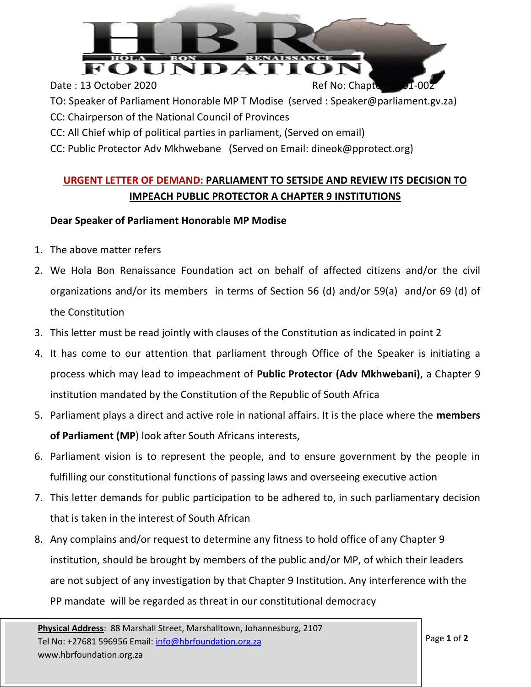

- TO: Speaker of Parliament Honorable MP T Modise (served : Speaker@parliament.gv.za)
- CC: Chairperson of the National Council of Provinces
- CC: All Chief whip of political parties in parliament, (Served on email)
- CC: Public Protector Adv Mkhwebane (Served on Email: dineok@pprotect.org)

## **URGENT LETTER OF DEMAND: PARLIAMENT TO SETSIDE AND REVIEW ITS DECISION TO IMPEACH PUBLIC PROTECTOR A CHAPTER 9 INSTITUTIONS**

## **Dear Speaker of Parliament Honorable MP Modise**

- 1. The above matter refers
- 2. We Hola Bon Renaissance Foundation act on behalf of affected citizens and/or the civil organizations and/or its members in terms of Section 56 (d) and/or 59(a) and/or 69 (d) of the Constitution
- 3. This letter must be read jointly with clauses of the Constitution as indicated in point 2
- 4. It has come to our attention that parliament through Office of the Speaker is initiating a process which may lead to impeachment of **Public Protector (Adv Mkhwebani)**, a Chapter 9 institution mandated by the Constitution of the Republic of South Africa
- 5. Parliament plays a direct and active role in national affairs. It is the place where the **members of Parliament (MP**) look after South Africans interests,
- 6. Parliament vision is to represent the people, and to ensure government by the people in fulfilling our constitutional functions of passing laws and overseeing executive action
- 7. This letter demands for public participation to be adhered to, in such parliamentary decision that is taken in the interest of South African
- 8. Any complains and/or request to determine any fitness to hold office of any Chapter 9 institution, should be brought by members of the public and/or MP, of which their leaders are not subject of any investigation by that Chapter 9 Institution. Any interference with the PP mandate will be regarded as threat in our constitutional democracy